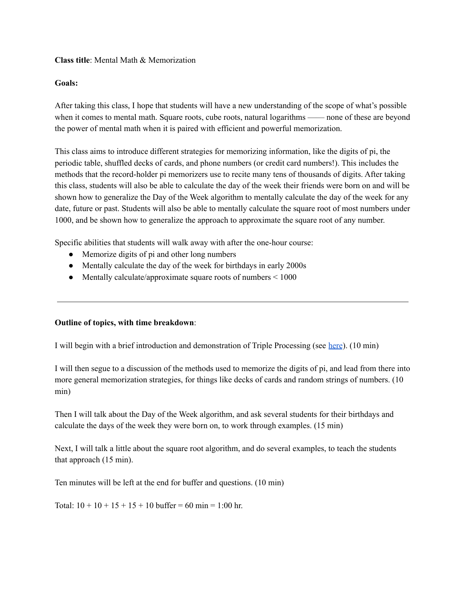## **Class title**: Mental Math & Memorization

## **Goals:**

After taking this class, I hope that students will have a new understanding of the scope of what's possible when it comes to mental math. Square roots, cube roots, natural logarithms —— none of these are beyond the power of mental math when it is paired with efficient and powerful memorization.

This class aims to introduce different strategies for memorizing information, like the digits of pi, the periodic table, shuffled decks of cards, and phone numbers (or credit card numbers!). This includes the methods that the record-holder pi memorizers use to recite many tens of thousands of digits. After taking this class, students will also be able to calculate the day of the week their friends were born on and will be shown how to generalize the Day of the Week algorithm to mentally calculate the day of the week for any date, future or past. Students will also be able to mentally calculate the square root of most numbers under 1000, and be shown how to generalize the approach to approximate the square root of any number.

Specific abilities that students will walk away with after the one-hour course:

- Memorize digits of pi and other long numbers
- Mentally calculate the day of the week for birthdays in early 2000s
- Mentally calculate/approximate square roots of numbers  $\leq 1000$

# **Outline of topics, with time breakdown**:

I will begin with a brief introduction and demonstration of Triple Processing (see [here](https://www.youtube.com/watch?v=klTh4k0fCTk&ab_channel=AriEssunfeld)). (10 min)

I will then segue to a discussion of the methods used to memorize the digits of pi, and lead from there into more general memorization strategies, for things like decks of cards and random strings of numbers. (10 min)

Then I will talk about the Day of the Week algorithm, and ask several students for their birthdays and calculate the days of the week they were born on, to work through examples. (15 min)

Next, I will talk a little about the square root algorithm, and do several examples, to teach the students that approach (15 min).

Ten minutes will be left at the end for buffer and questions. (10 min)

Total:  $10 + 10 + 15 + 15 + 10$  buffer = 60 min = 1:00 hr.